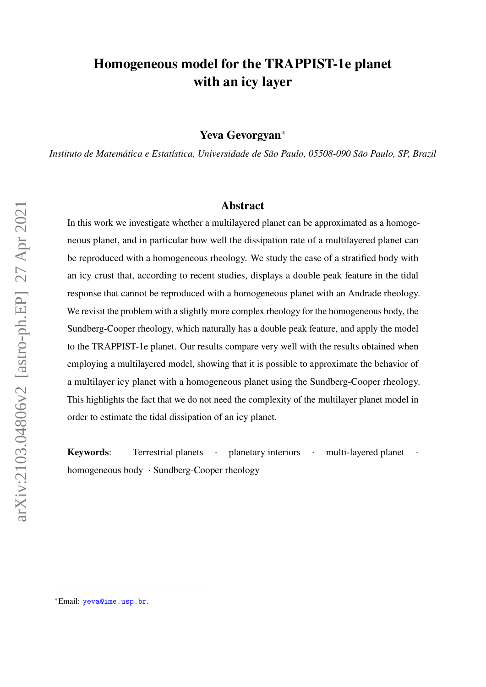## **Homogeneous model for the TRAPPIST-1e planet with an icy layer**

**Yeva Gevorgyan**[∗](#page-0-0)

*Instituto de Matemática e Estatística, Universidade de São Paulo, 05508-090 São Paulo, SP, Brazil*

#### **Abstract**

In this work we investigate whether a multilayered planet can be approximated as a homogeneous planet, and in particular how well the dissipation rate of a multilayered planet can be reproduced with a homogeneous rheology. We study the case of a stratified body with an icy crust that, according to recent studies, displays a double peak feature in the tidal response that cannot be reproduced with a homogeneous planet with an Andrade rheology. We revisit the problem with a slightly more complex rheology for the homogeneous body, the Sundberg-Cooper rheology, which naturally has a double peak feature, and apply the model to the TRAPPIST-1e planet. Our results compare very well with the results obtained when employing a multilayered model, showing that it is possible to approximate the behavior of a multilayer icy planet with a homogeneous planet using the Sundberg-Cooper rheology. This highlights the fact that we do not need the complexity of the multilayer planet model in order to estimate the tidal dissipation of an icy planet.

**Keywords:** Terrestrial planets ⋅ planetary interiors ⋅ multi-layered planet homogeneous body ⋅ Sundberg-Cooper rheology

<span id="page-0-0"></span><sup>∗</sup>Email: [yeva@ime.usp.br](mailto:yeva@ime.usp.br).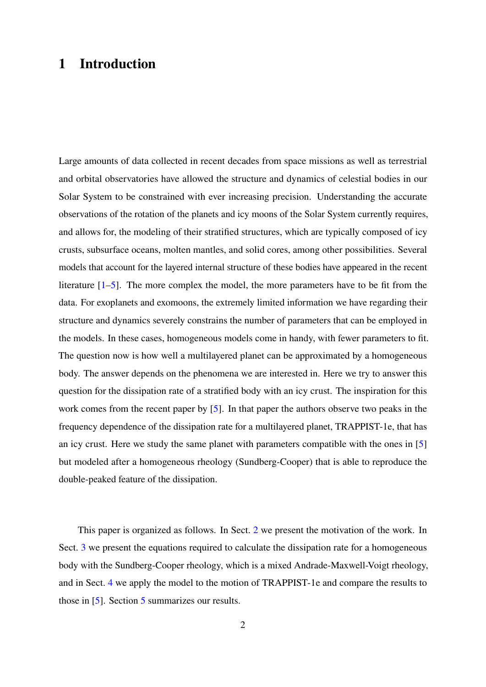# **1 Introduction**

Large amounts of data collected in recent decades from space missions as well as terrestrial and orbital observatories have allowed the structure and dynamics of celestial bodies in our Solar System to be constrained with ever increasing precision. Understanding the accurate observations of the rotation of the planets and icy moons of the Solar System currently requires, and allows for, the modeling of their stratified structures, which are typically composed of icy crusts, subsurface oceans, molten mantles, and solid cores, among other possibilities. Several models that account for the layered internal structure of these bodies have appeared in the recent literature  $[1-5]$  $[1-5]$ . The more complex the model, the more parameters have to be fit from the data. For exoplanets and exomoons, the extremely limited information we have regarding their structure and dynamics severely constrains the number of parameters that can be employed in the models. In these cases, homogeneous models come in handy, with fewer parameters to fit. The question now is how well a multilayered planet can be approximated by a homogeneous body. The answer depends on the phenomena we are interested in. Here we try to answer this question for the dissipation rate of a stratified body with an icy crust. The inspiration for this work comes from the recent paper by [\[5\]](#page-11-0). In that paper the authors observe two peaks in the frequency dependence of the dissipation rate for a multilayered planet, TRAPPIST-1e, that has an icy crust. Here we study the same planet with parameters compatible with the ones in [\[5\]](#page-11-0) but modeled after a homogeneous rheology (Sundberg-Cooper) that is able to reproduce the double-peaked feature of the dissipation.

This paper is organized as follows. In Sect. [2](#page-2-0) we present the motivation of the work. In Sect. [3](#page-2-1) we present the equations required to calculate the dissipation rate for a homogeneous body with the Sundberg-Cooper rheology, which is a mixed Andrade-Maxwell-Voigt rheology, and in Sect. [4](#page-6-0) we apply the model to the motion of TRAPPIST-1e and compare the results to those in [\[5\]](#page-11-0). Section [5](#page-10-1) summarizes our results.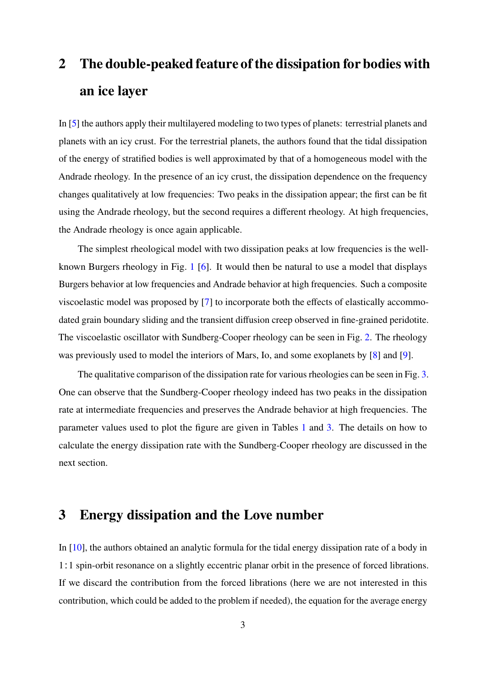# <span id="page-2-0"></span>**2 The double-peaked feature of the dissipation for bodies with an ice layer**

In [\[5\]](#page-11-0) the authors apply their multilayered modeling to two types of planets: terrestrial planets and planets with an icy crust. For the terrestrial planets, the authors found that the tidal dissipation of the energy of stratified bodies is well approximated by that of a homogeneous model with the Andrade rheology. In the presence of an icy crust, the dissipation dependence on the frequency changes qualitatively at low frequencies: Two peaks in the dissipation appear; the first can be fit using the Andrade rheology, but the second requires a different rheology. At high frequencies, the Andrade rheology is once again applicable.

The simplest rheological model with two dissipation peaks at low frequencies is the wellknown Burgers rheology in Fig. [1](#page-3-0) [\[6\]](#page-11-1). It would then be natural to use a model that displays Burgers behavior at low frequencies and Andrade behavior at high frequencies. Such a composite viscoelastic model was proposed by [\[7\]](#page-11-2) to incorporate both the effects of elastically accommodated grain boundary sliding and the transient diffusion creep observed in fine-grained peridotite. The viscoelastic oscillator with Sundberg-Cooper rheology can be seen in Fig. [2.](#page-4-0) The rheology was previously used to model the interiors of Mars, Io, and some exoplanets by [\[8\]](#page-11-3) and [\[9\]](#page-11-4).

The qualitative comparison of the dissipation rate for various rheologies can be seen in Fig. [3.](#page-4-1) One can observe that the Sundberg-Cooper rheology indeed has two peaks in the dissipation rate at intermediate frequencies and preserves the Andrade behavior at high frequencies. The parameter values used to plot the figure are given in Tables [1](#page-3-1) and [3.](#page-7-0) The details on how to calculate the energy dissipation rate with the Sundberg-Cooper rheology are discussed in the next section.

#### <span id="page-2-1"></span>**3 Energy dissipation and the Love number**

In [\[10\]](#page-11-5), the authors obtained an analytic formula for the tidal energy dissipation rate of a body in 1∶1 spin-orbit resonance on a slightly eccentric planar orbit in the presence of forced librations. If we discard the contribution from the forced librations (here we are not interested in this contribution, which could be added to the problem if needed), the equation for the average energy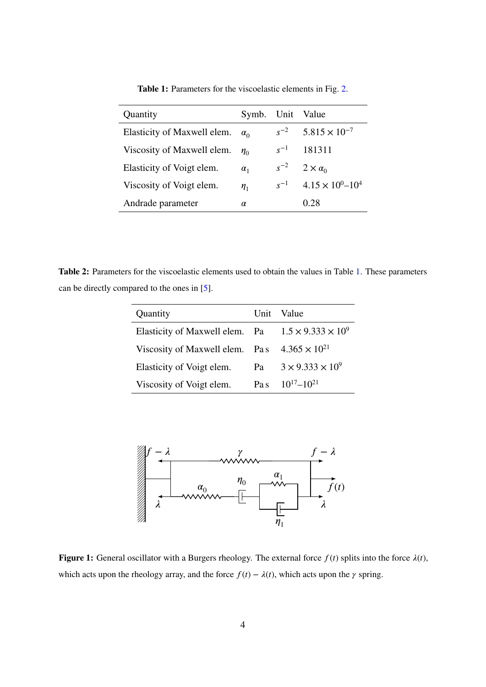<span id="page-3-1"></span>

| Quantity                    | Symb.      |          | Unit Value                    |
|-----------------------------|------------|----------|-------------------------------|
| Elasticity of Maxwell elem. | $\alpha_0$ | $s^{-2}$ | $5.815 \times 10^{-7}$        |
| Viscosity of Maxwell elem.  | $\eta_0$   | $s^{-1}$ | 181311                        |
| Elasticity of Voigt elem.   | $\alpha_1$ | $s^{-2}$ | $2 \times \alpha_0$           |
| Viscosity of Voigt elem.    | $\eta_1$   | $s^{-1}$ | $4.15 \times 10^{0} - 10^{4}$ |
| Andrade parameter           | α          |          | 0.28                          |

**Table 1:** Parameters for the viscoelastic elements in Fig. [2.](#page-4-0)

<span id="page-3-2"></span>**Table 2:** Parameters for the viscoelastic elements used to obtain the values in Table [1.](#page-3-1) These parameters can be directly compared to the ones in [\[5\]](#page-11-0).

| Quantity                       |      | Unit Value                     |
|--------------------------------|------|--------------------------------|
| Elasticity of Maxwell elem. Pa |      | $1.5 \times 9.333 \times 10^9$ |
| Viscosity of Maxwell elem. Pas |      | $4.365 \times 10^{21}$         |
| Elasticity of Voigt elem.      | Pa   | $3 \times 9.333 \times 10^{9}$ |
| Viscosity of Voigt elem.       | Pa s | $10^{17} - 10^{21}$            |

<span id="page-3-0"></span>

**Figure 1:** General oscillator with a Burgers rheology. The external force  $f(t)$  splits into the force  $\lambda(t)$ , which acts upon the rheology array, and the force  $f(t) - \lambda(t)$ , which acts upon the  $\gamma$  spring.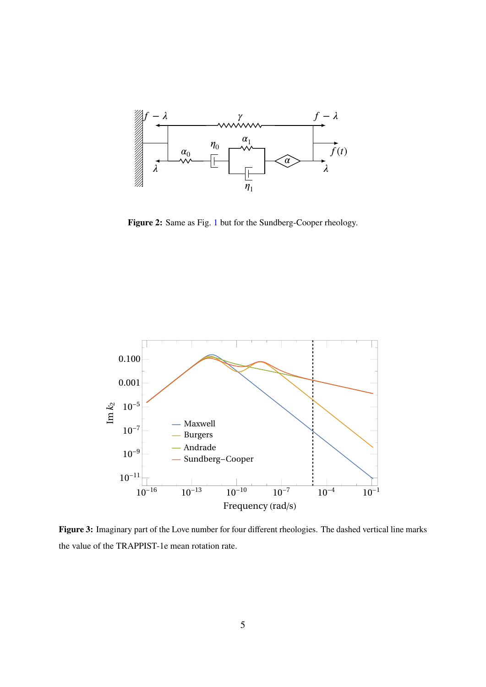<span id="page-4-0"></span>

**Figure 2:** Same as Fig. [1](#page-3-0) but for the Sundberg-Cooper rheology.

<span id="page-4-1"></span>

**Figure 3:** Imaginary part of the Love number for four different rheologies. The dashed vertical line marks the value of the TRAPPIST-1e mean rotation rate.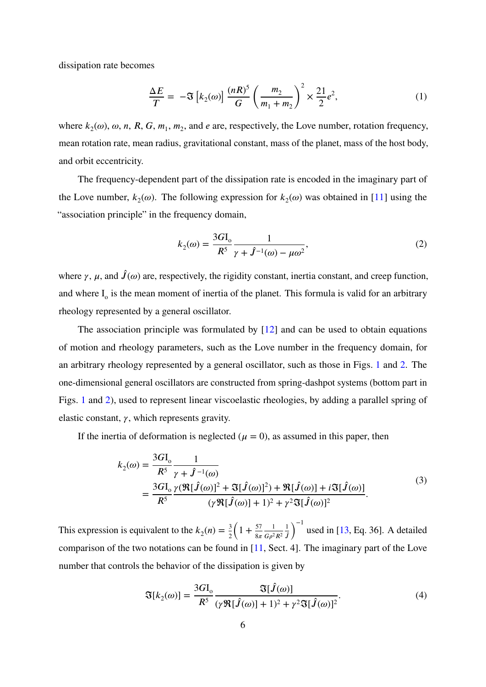dissipation rate becomes

*𝑘*2

<span id="page-5-0"></span>
$$
\frac{\Delta E}{T} = -\mathfrak{F}\left[k_2(\omega)\right] \frac{(nR)^5}{G} \left(\frac{m_2}{m_1 + m_2}\right)^2 \times \frac{21}{2} e^2,\tag{1}
$$

where  $k_2(\omega)$ ,  $\omega$ ,  $n$ ,  $R$ ,  $G$ ,  $m_1$ ,  $m_2$ , and  $e$  are, respectively, the Love number, rotation frequency, mean rotation rate, mean radius, gravitational constant, mass of the planet, mass of the host body, and orbit eccentricity.

The frequency-dependent part of the dissipation rate is encoded in the imaginary part of the Love number,  $k_2(\omega)$ . The following expression for  $k_2(\omega)$  was obtained in [\[11\]](#page-11-6) using the "association principle" in the frequency domain,

$$
k_2(\omega) = \frac{3G I_0}{R^5} \frac{1}{\gamma + \hat{J}^{-1}(\omega) - \mu \omega^2},
$$
 (2)

where  $\gamma$ ,  $\mu$ , and  $\hat{J}(\omega)$  are, respectively, the rigidity constant, inertia constant, and creep function, and where  $I_0$  is the mean moment of inertia of the planet. This formula is valid for an arbitrary rheology represented by a general oscillator.

The association principle was formulated by  $[12]$  and can be used to obtain equations of motion and rheology parameters, such as the Love number in the frequency domain, for an arbitrary rheology represented by a general oscillator, such as those in Figs. [1](#page-3-0) and [2.](#page-4-0) The one-dimensional general oscillators are constructed from spring-dashpot systems (bottom part in Figs. [1](#page-3-0) and [2\)](#page-4-0), used to represent linear viscoelastic rheologies, by adding a parallel spring of elastic constant,  $\gamma$ , which represents gravity.

If the inertia of deformation is neglected  $(\mu = 0)$ , as assumed in this paper, then

$$
k_2(\omega) = \frac{3G I_0}{R^5} \frac{1}{\gamma + \hat{J}^{-1}(\omega)}
$$
  
= 
$$
\frac{3G I_0}{R^5} \frac{\gamma (\Re[\hat{J}(\omega)]^2 + \Im[\hat{J}(\omega)]^2) + \Re[\hat{J}(\omega)] + i \Im[\hat{J}(\omega)]}{(\gamma \Re[\hat{J}(\omega)] + 1)^2 + \gamma^2 \Im[\hat{J}(\omega)]^2}.
$$
 (3)

This expression is equivalent to the  $k_2(n) = \frac{3}{2}$  $\overline{a}$  $1 + \frac{57}{8\pi}$ 1  $G\rho^2 R^2$ 1 *𝐽̂*  $\sqrt{-1}$ used in [\[13,](#page-12-0) Eq. 36]. A detailed comparison of the two notations can be found in [\[11,](#page-11-6) Sect. 4]. The imaginary part of the Love number that controls the behavior of the dissipation is given by

<span id="page-5-1"></span>
$$
\mathfrak{F}[k_2(\omega)] = \frac{3G\mathcal{I}_o}{R^5} \frac{\mathfrak{F}[\hat{J}(\omega)]}{(\gamma \mathfrak{R}[\hat{J}(\omega)] + 1)^2 + \gamma^2 \mathfrak{F}[\hat{J}(\omega)]^2}.
$$
\n(4)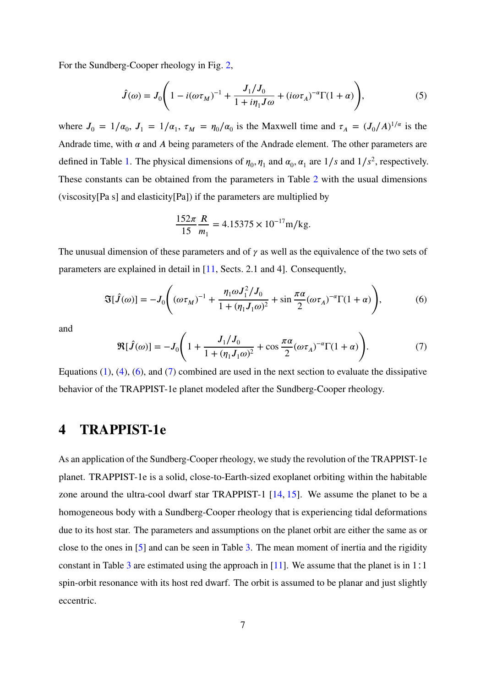For the Sundberg-Cooper rheology in Fig. [2,](#page-4-0)

$$
\hat{J}(\omega) = J_0 \left( 1 - i(\omega \tau_M)^{-1} + \frac{J_1/J_0}{1 + i\eta_1 J \omega} + (i\omega \tau_A)^{-\alpha} \Gamma(1 + \alpha) \right),\tag{5}
$$

where  $J_0 = 1/\alpha_0$ ,  $J_1 = 1/\alpha_1$ ,  $\tau_M = \eta_0/\alpha_0$  is the Maxwell time and  $\tau_A = (J_0/A)^{1/\alpha}$  is the Andrade time, with  $\alpha$  and  $\dot{A}$  being parameters of the Andrade element. The other parameters are defined in Table [1.](#page-3-1) The physical dimensions of  $\eta_0$ ,  $\eta_1$  and  $\alpha_0$ ,  $\alpha_1$  are  $1/s$  and  $1/s^2$ , respectively. These constants can be obtained from the parameters in Table [2](#page-3-2) with the usual dimensions (viscosity[Pa s] and elasticity[Pa]) if the parameters are multiplied by

$$
\frac{152\pi}{15} \frac{R}{m_1} = 4.15375 \times 10^{-17} \text{m/kg}.
$$

The unusual dimension of these parameters and of  $\gamma$  as well as the equivalence of the two sets of parameters are explained in detail in [\[11,](#page-11-6) Sects. 2.1 and 4]. Consequently,

<span id="page-6-1"></span>
$$
\mathfrak{F}[\hat{J}(\omega)] = -J_0 \Bigg( (\omega \tau_M)^{-1} + \frac{\eta_1 \omega J_1^2 / J_0}{1 + (\eta_1 J_1 \omega)^2} + \sin \frac{\pi \alpha}{2} (\omega \tau_A)^{-\alpha} \Gamma(1 + \alpha) \Bigg),\tag{6}
$$

and

<span id="page-6-2"></span>
$$
\mathfrak{R}[\hat{J}(\omega)] = -J_0 \Bigg( 1 + \frac{J_1/J_0}{1 + (\eta_1 J_1 \omega)^2} + \cos \frac{\pi \alpha}{2} (\omega \tau_A)^{-\alpha} \Gamma(1 + \alpha) \Bigg). \tag{7}
$$

Equations  $(1)$ ,  $(4)$ ,  $(6)$ , and  $(7)$  combined are used in the next section to evaluate the dissipative behavior of the TRAPPIST-1e planet modeled after the Sundberg-Cooper rheology.

#### <span id="page-6-0"></span>**4 TRAPPIST-1e**

As an application of the Sundberg-Cooper rheology, we study the revolution of the TRAPPIST-1e planet. TRAPPIST-1e is a solid, close-to-Earth-sized exoplanet orbiting within the habitable zone around the ultra-cool dwarf star TRAPPIST-1 [\[14,](#page-12-1) [15\]](#page-12-2). We assume the planet to be a homogeneous body with a Sundberg-Cooper rheology that is experiencing tidal deformations due to its host star. The parameters and assumptions on the planet orbit are either the same as or close to the ones in [\[5\]](#page-11-0) and can be seen in Table [3.](#page-7-0) The mean moment of inertia and the rigidity constant in Table [3](#page-7-0) are estimated using the approach in [\[11\]](#page-11-6). We assume that the planet is in 1∶1 spin-orbit resonance with its host red dwarf. The orbit is assumed to be planar and just slightly eccentric.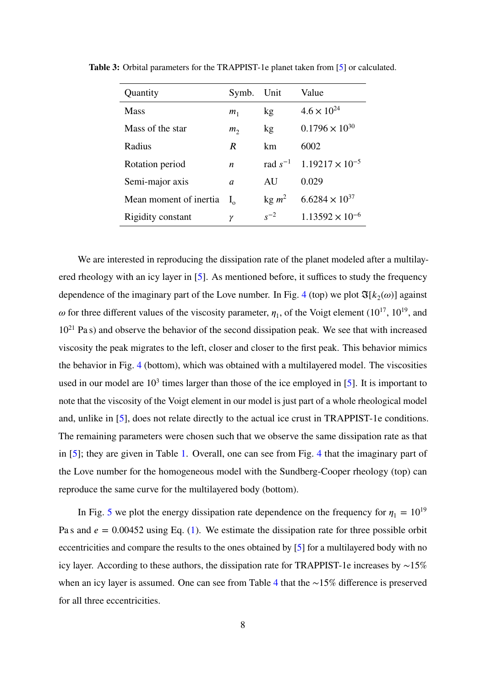| Quantity               | Symb.            | Unit              | Value                                          |
|------------------------|------------------|-------------------|------------------------------------------------|
| <b>Mass</b>            | m <sub>1</sub>   | kg                | $4.6 \times 10^{24}$                           |
| Mass of the star       | m <sub>2</sub>   | kg                | $0.1796 \times 10^{30}$                        |
| Radius                 | R                | km                | 6002                                           |
| Rotation period        | $\boldsymbol{n}$ |                   | rad $s^{-1}$ 1.19217 $\times$ 10 <sup>-5</sup> |
| Semi-major axis        | a                | AU                | 0.029                                          |
| Mean moment of inertia | $I_{\alpha}$     | kg m <sup>2</sup> | $6.6284 \times 10^{37}$                        |
| Rigidity constant      | γ                | $s^{-2}$          | $1.13592 \times 10^{-6}$                       |

<span id="page-7-0"></span>**Table 3:** Orbital parameters for the TRAPPIST-1e planet taken from [\[5\]](#page-11-0) or calculated.

We are interested in reproducing the dissipation rate of the planet modeled after a multilayered rheology with an icy layer in [\[5\]](#page-11-0). As mentioned before, it suffices to study the frequency dependence of the imaginary part of the Love number. In Fig. [4](#page-8-0) (top) we plot  $\mathfrak{F}[k_2(\omega)]$  against  $\omega$  for three different values of the viscosity parameter,  $\eta_1$ , of the Voigt element (10<sup>17</sup>, 10<sup>19</sup>, and  $10^{21}$  Pa s) and observe the behavior of the second dissipation peak. We see that with increased viscosity the peak migrates to the left, closer and closer to the first peak. This behavior mimics the behavior in Fig. [4](#page-8-0) (bottom), which was obtained with a multilayered model. The viscosities used in our model are  $10<sup>3</sup>$  times larger than those of the ice employed in [\[5\]](#page-11-0). It is important to note that the viscosity of the Voigt element in our model is just part of a whole rheological model and, unlike in [\[5\]](#page-11-0), does not relate directly to the actual ice crust in TRAPPIST-1e conditions. The remaining parameters were chosen such that we observe the same dissipation rate as that in [\[5\]](#page-11-0); they are given in Table [1.](#page-3-1) Overall, one can see from Fig. [4](#page-8-0) that the imaginary part of the Love number for the homogeneous model with the Sundberg-Cooper rheology (top) can reproduce the same curve for the multilayered body (bottom).

In Fig. [5](#page-9-0) we plot the energy dissipation rate dependence on the frequency for  $\eta_1 = 10^{19}$ Pa s and  $e = 0.00452$  using Eq. [\(1\)](#page-5-0). We estimate the dissipation rate for three possible orbit eccentricities and compare the results to the ones obtained by [\[5\]](#page-11-0) for a multilayered body with no icy layer. According to these authors, the dissipation rate for TRAPPIST-1e increases by ∼15% when an icy layer is assumed. One can see from Table [4](#page-9-1) that the ∼15% difference is preserved for all three eccentricities.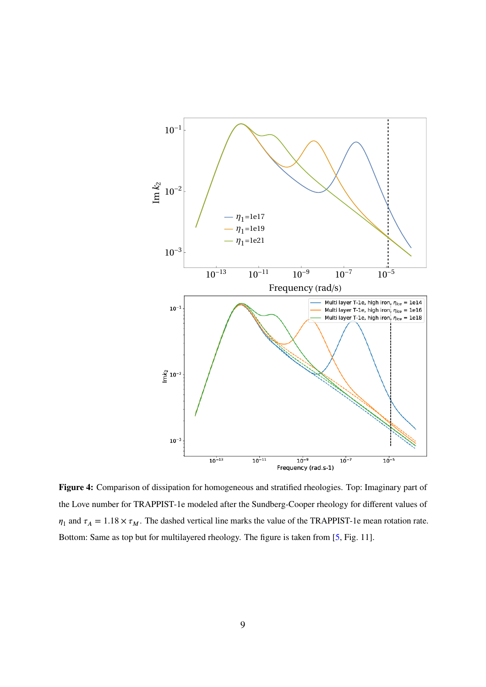<span id="page-8-0"></span>

**Figure 4:** Comparison of dissipation for homogeneous and stratified rheologies. Top: Imaginary part of the Love number for TRAPPIST-1e modeled after the Sundberg-Cooper rheology for different values of  $\eta_1$  and  $\tau_A = 1.18 \times \tau_M$ . The dashed vertical line marks the value of the TRAPPIST-1e mean rotation rate. Bottom: Same as top but for multilayered rheology. The figure is taken from [\[5,](#page-11-0) Fig. 11].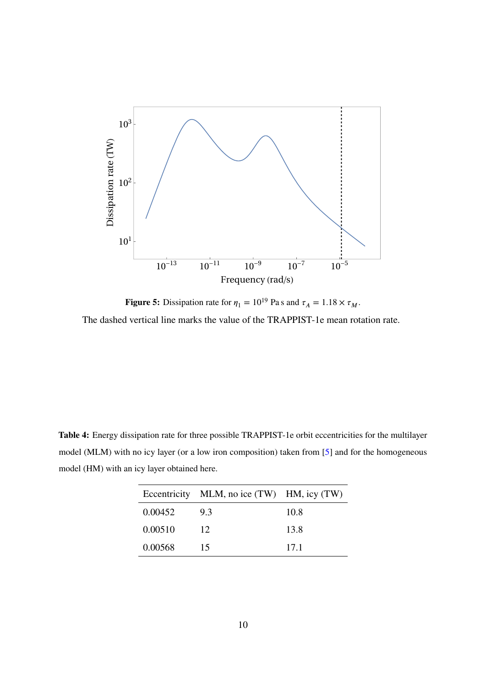<span id="page-9-0"></span>

**Figure 5:** Dissipation rate for  $\eta_1 = 10^{19}$  Pa s and  $\tau_A = 1.18 \times \tau_M$ . The dashed vertical line marks the value of the TRAPPIST-1e mean rotation rate.

<span id="page-9-1"></span>**Table 4:** Energy dissipation rate for three possible TRAPPIST-1e orbit eccentricities for the multilayer model (MLM) with no icy layer (or a low iron composition) taken from [\[5\]](#page-11-0) and for the homogeneous model (HM) with an icy layer obtained here.

|         | Eccentricity MLM, no ice (TW) HM, icy (TW) |      |
|---------|--------------------------------------------|------|
| 0.00452 | 9.3                                        | 10.8 |
| 0.00510 | 12                                         | 13.8 |
| 0.00568 | 15                                         | 17.1 |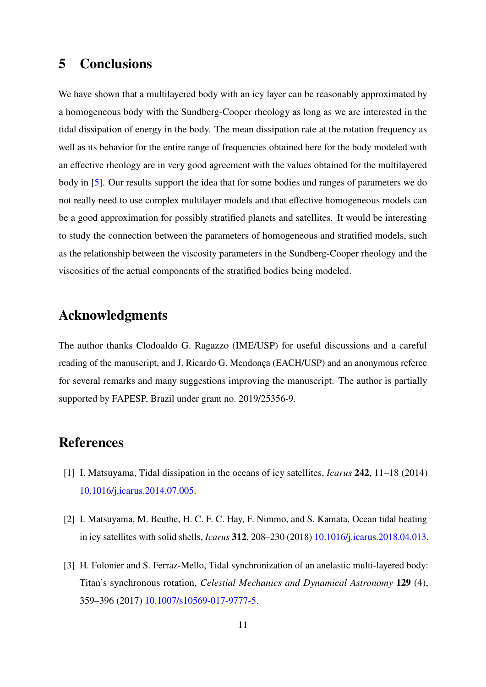### <span id="page-10-1"></span>**5 Conclusions**

We have shown that a multilayered body with an icy layer can be reasonably approximated by a homogeneous body with the Sundberg-Cooper rheology as long as we are interested in the tidal dissipation of energy in the body. The mean dissipation rate at the rotation frequency as well as its behavior for the entire range of frequencies obtained here for the body modeled with an effective rheology are in very good agreement with the values obtained for the multilayered body in [\[5\]](#page-11-0). Our results support the idea that for some bodies and ranges of parameters we do not really need to use complex multilayer models and that effective homogeneous models can be a good approximation for possibly stratified planets and satellites. It would be interesting to study the connection between the parameters of homogeneous and stratified models, such as the relationship between the viscosity parameters in the Sundberg-Cooper rheology and the viscosities of the actual components of the stratified bodies being modeled.

#### **Acknowledgments**

The author thanks Clodoaldo G. Ragazzo (IME/USP) for useful discussions and a careful reading of the manuscript, and J. Ricardo G. Mendonça (EACH/USP) and an anonymous referee for several remarks and many suggestions improving the manuscript. The author is partially supported by FAPESP, Brazil under grant no. 2019/25356-9.

#### **References**

- <span id="page-10-0"></span>[1] I. Matsuyama, Tidal dissipation in the oceans of icy satellites, *Icarus* **242**, 11–18 (2014) [10.1016/j.icarus.2014.07.005.](https://doi.org/10.1016/j.icarus.2014.07.005)
- [2] I. Matsuyama, M. Beuthe, H. C. F. C. Hay, F. Nimmo, and S. Kamata, Ocean tidal heating in icy satellites with solid shells, *Icarus* **312**, 208–230 (2018) [10.1016/j.icarus.2018.04.013.](https://doi.org/10.1016/j.icarus.2018.04.013)
- [3] H. Folonier and S. Ferraz-Mello, Tidal synchronization of an anelastic multi-layered body: Titan's synchronous rotation, *Celestial Mechanics and Dynamical Astronomy* **129** (4), 359–396 (2017) [10.1007/s10569-017-9777-5.](https://doi.org/10.1007/s10569-017-9777-5)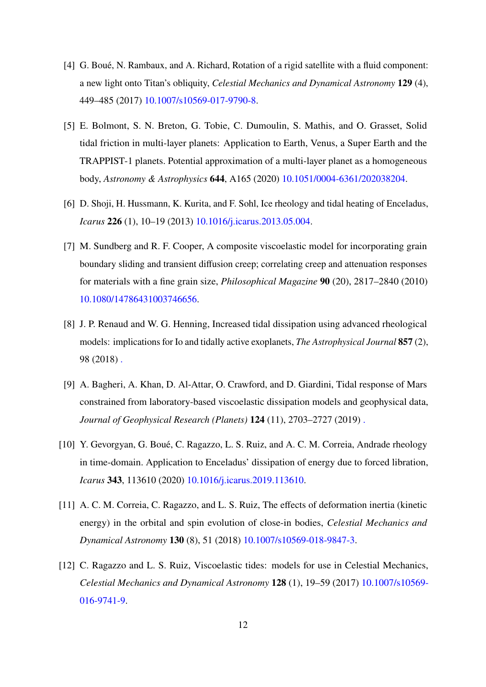- [4] G. Boué, N. Rambaux, and A. Richard, Rotation of a rigid satellite with a fluid component: a new light onto Titan's obliquity, *Celestial Mechanics and Dynamical Astronomy* **129** (4), 449–485 (2017) [10.1007/s10569-017-9790-8.](https://doi.org/10.1007/s10569-017-9790-8)
- <span id="page-11-0"></span>[5] E. Bolmont, S. N. Breton, G. Tobie, C. Dumoulin, S. Mathis, and O. Grasset, Solid tidal friction in multi-layer planets: Application to Earth, Venus, a Super Earth and the TRAPPIST-1 planets. Potential approximation of a multi-layer planet as a homogeneous body, *Astronomy & Astrophysics* **644**, A165 (2020) [10.1051/0004-6361/202038204.](https://doi.org/10.1051/0004-6361/202038204)
- <span id="page-11-1"></span>[6] D. Shoji, H. Hussmann, K. Kurita, and F. Sohl, Ice rheology and tidal heating of Enceladus, *Icarus* **226** (1), 10–19 (2013) [10.1016/j.icarus.2013.05.004.](https://doi.org/10.1016/j.icarus.2013.05.004)
- <span id="page-11-2"></span>[7] M. Sundberg and R. F. Cooper, A composite viscoelastic model for incorporating grain boundary sliding and transient diffusion creep; correlating creep and attenuation responses for materials with a fine grain size, *Philosophical Magazine* **90** (20), 2817–2840 (2010) [10.1080/14786431003746656.](https://doi.org/10.1080/14786431003746656)
- <span id="page-11-3"></span>[8] J. P. Renaud and W. G. Henning, Increased tidal dissipation using advanced rheological models: implications for Io and tidally active exoplanets, *The Astrophysical Journal* **857** (2), 98 (2018) [.](https://ui.adsabs.harvard.edu/abs/2018ApJ...857...98R)
- <span id="page-11-4"></span>[9] A. Bagheri, A. Khan, D. Al-Attar, O. Crawford, and D. Giardini, Tidal response of Mars constrained from laboratory-based viscoelastic dissipation models and geophysical data, *Journal of Geophysical Research (Planets)* **124** (11), 2703–2727 (2019) [.](https://ui.adsabs.harvard.edu/abs/2019JGRE..124.2703B)
- <span id="page-11-5"></span>[10] Y. Gevorgyan, G. Boué, C. Ragazzo, L. S. Ruiz, and A. C. M. Correia, Andrade rheology in time-domain. Application to Enceladus' dissipation of energy due to forced libration, *Icarus* **343**, 113610 (2020) [10.1016/j.icarus.2019.113610.](https://doi.org/10.1016/j.icarus.2019.113610)
- <span id="page-11-6"></span>[11] A. C. M. Correia, C. Ragazzo, and L. S. Ruiz, The effects of deformation inertia (kinetic energy) in the orbital and spin evolution of close-in bodies, *Celestial Mechanics and Dynamical Astronomy* **130** (8), 51 (2018) [10.1007/s10569-018-9847-3.](https://doi.org/10.1007/s10569-018-9847-3)
- <span id="page-11-7"></span>[12] C. Ragazzo and L. S. Ruiz, Viscoelastic tides: models for use in Celestial Mechanics, *Celestial Mechanics and Dynamical Astronomy* **128** (1), 19–59 (2017) [10.1007/s10569-](https://doi.org/10.1007/s10569-016-9741-9) [016-9741-9.](https://doi.org/10.1007/s10569-016-9741-9)